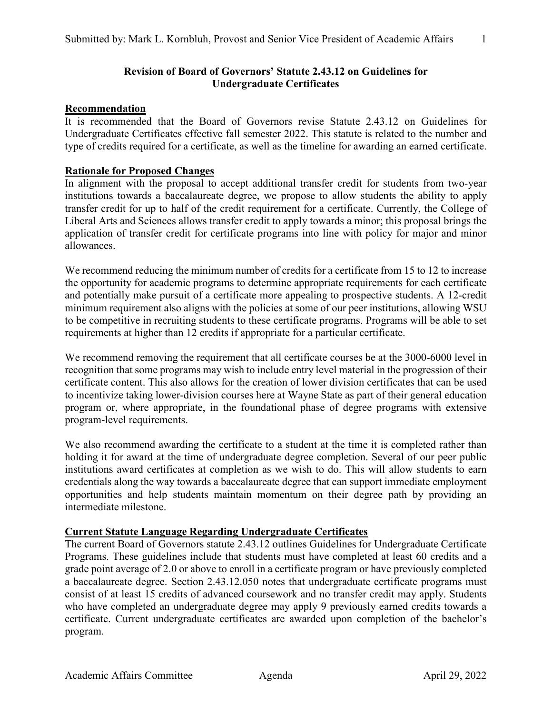# **Revision of Board of Governors' Statute 2.43.12 on Guidelines for Undergraduate Certificates**

## **Recommendation**

It is recommended that the Board of Governors revise Statute 2.43.12 on Guidelines for Undergraduate Certificates effective fall semester 2022. This statute is related to the number and type of credits required for a certificate, as well as the timeline for awarding an earned certificate.

## **Rationale for Proposed Changes**

In alignment with the proposal to accept additional transfer credit for students from two-year institutions towards a baccalaureate degree, we propose to allow students the ability to apply transfer credit for up to half of the credit requirement for a certificate. Currently, the College of Liberal Arts and Sciences allows transfer credit to apply towards a minor; this proposal brings the application of transfer credit for certificate programs into line with policy for major and minor allowances.

We recommend reducing the minimum number of credits for a certificate from 15 to 12 to increase the opportunity for academic programs to determine appropriate requirements for each certificate and potentially make pursuit of a certificate more appealing to prospective students. A 12-credit minimum requirement also aligns with the policies at some of our peer institutions, allowing WSU to be competitive in recruiting students to these certificate programs. Programs will be able to set requirements at higher than 12 credits if appropriate for a particular certificate.

We recommend removing the requirement that all certificate courses be at the 3000-6000 level in recognition that some programs may wish to include entry level material in the progression of their certificate content. This also allows for the creation of lower division certificates that can be used to incentivize taking lower-division courses here at Wayne State as part of their general education program or, where appropriate, in the foundational phase of degree programs with extensive program-level requirements.

We also recommend awarding the certificate to a student at the time it is completed rather than holding it for award at the time of undergraduate degree completion. Several of our peer public institutions award certificates at completion as we wish to do. This will allow students to earn credentials along the way towards a baccalaureate degree that can support immediate employment opportunities and help students maintain momentum on their degree path by providing an intermediate milestone.

#### **Current Statute Language Regarding Undergraduate Certificates**

The current Board of Governors statute 2.43.12 outlines Guidelines for Undergraduate Certificate Programs. These guidelines include that students must have completed at least 60 credits and a grade point average of 2.0 or above to enroll in a certificate program or have previously completed a baccalaureate degree. Section 2.43.12.050 notes that undergraduate certificate programs must consist of at least 15 credits of advanced coursework and no transfer credit may apply. Students who have completed an undergraduate degree may apply 9 previously earned credits towards a certificate. Current undergraduate certificates are awarded upon completion of the bachelor's program.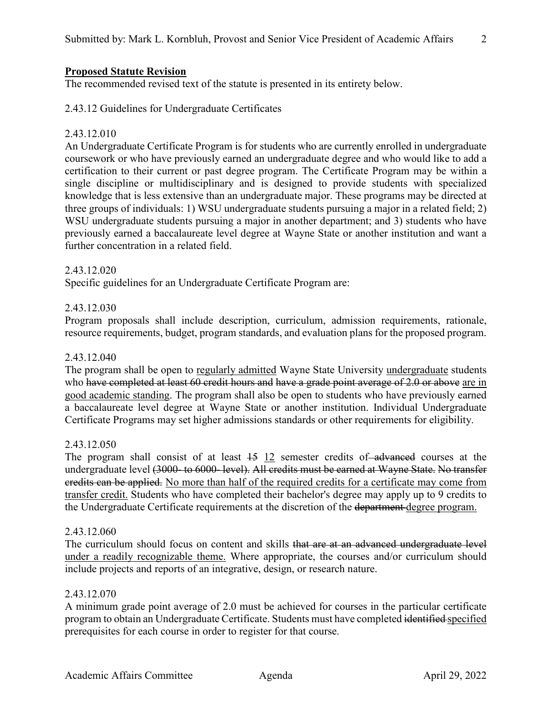## **Proposed Statute Revision**

The recommended revised text of the statute is presented in its entirety below.

2.43.12 Guidelines for Undergraduate Certificates

# 2.43.12.010

An Undergraduate Certificate Program is for students who are currently enrolled in undergraduate coursework or who have previously earned an undergraduate degree and who would like to add a certification to their current or past degree program. The Certificate Program may be within a single discipline or multidisciplinary and is designed to provide students with specialized knowledge that is less extensive than an undergraduate major. These programs may be directed at three groups of individuals: 1) WSU undergraduate students pursuing a major in a related field; 2) WSU undergraduate students pursuing a major in another department; and 3) students who have previously earned a baccalaureate level degree at Wayne State or another institution and want a further concentration in a related field.

#### 2.43.12.020

Specific guidelines for an Undergraduate Certificate Program are:

#### 2.43.12.030

Program proposals shall include description, curriculum, admission requirements, rationale, resource requirements, budget, program standards, and evaluation plans for the proposed program.

#### 2.43.12.040

The program shall be open to regularly admitted Wayne State University undergraduate students who have completed at least 60 credit hours and have a grade point average of 2.0 or above are in good academic standing. The program shall also be open to students who have previously earned a baccalaureate level degree at Wayne State or another institution. Individual Undergraduate Certificate Programs may set higher admissions standards or other requirements for eligibility.

#### 2.43.12.050

The program shall consist of at least  $\frac{15}{12}$  semester credits of advanced courses at the undergraduate level (3000- to 6000- level). All credits must be earned at Wayne State. No transfer credits can be applied. No more than half of the required credits for a certificate may come from transfer credit. Students who have completed their bachelor's degree may apply up to 9 credits to the Undergraduate Certificate requirements at the discretion of the department degree program.

#### 2.43.12.060

The curriculum should focus on content and skills that are at an advanced undergraduate level under a readily recognizable theme. Where appropriate, the courses and/or curriculum should include projects and reports of an integrative, design, or research nature.

#### 2.43.12.070

A minimum grade point average of 2.0 must be achieved for courses in the particular certificate program to obtain an Undergraduate Certificate. Students must have completed identified specified prerequisites for each course in order to register for that course.